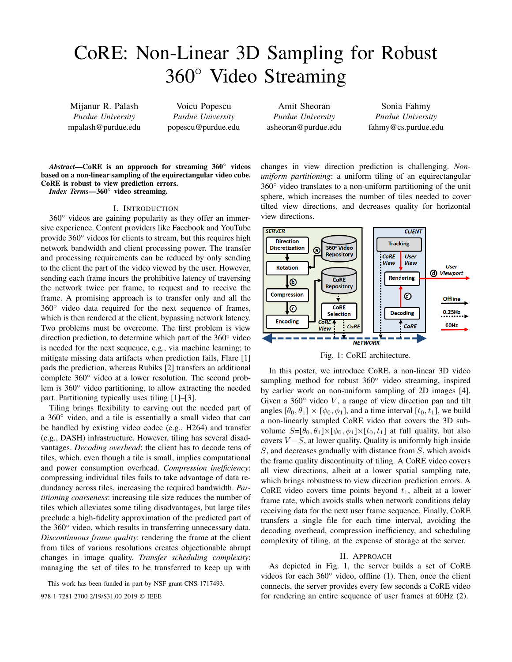# CoRE: Non-Linear 3D Sampling for Robust 360◦ Video Streaming

Mijanur R. Palash *Purdue University* mpalash@purdue.edu

Voicu Popescu *Purdue University* popescu@purdue.edu

Amit Sheoran *Purdue University* asheoran@purdue.edu

Sonia Fahmy *Purdue University* fahmy@cs.purdue.edu

*Abstract*—CoRE is an approach for streaming 360◦ videos based on a non-linear sampling of the equirectangular video cube. CoRE is robust to view prediction errors. *Index Terms*—360◦ video streaming.

## I. INTRODUCTION

360◦ videos are gaining popularity as they offer an immersive experience. Content providers like Facebook and YouTube provide 360◦ videos for clients to stream, but this requires high network bandwidth and client processing power. The transfer and processing requirements can be reduced by only sending to the client the part of the video viewed by the user. However, sending each frame incurs the prohibitive latency of traversing the network twice per frame, to request and to receive the frame. A promising approach is to transfer only and all the 360◦ video data required for the next sequence of frames, which is then rendered at the client, bypassing network latency. Two problems must be overcome. The first problem is view direction prediction, to determine which part of the 360◦ video is needed for the next sequence, e.g., via machine learning; to mitigate missing data artifacts when prediction fails, Flare [1] pads the prediction, whereas Rubiks [2] transfers an additional complete 360◦ video at a lower resolution. The second problem is 360◦ video partitioning, to allow extracting the needed part. Partitioning typically uses tiling [1]–[3].

Tiling brings flexibility to carving out the needed part of a 360◦ video, and a tile is essentially a small video that can be handled by existing video codec (e.g., H264) and transfer (e.g., DASH) infrastructure. However, tiling has several disadvantages. *Decoding overhead*: the client has to decode tens of tiles, which, even though a tile is small, implies computational and power consumption overhead. *Compression inefficiency*: compressing individual tiles fails to take advantage of data redundancy across tiles, increasing the required bandwidth. *Partitioning coarseness*: increasing tile size reduces the number of tiles which alleviates some tiling disadvantages, but large tiles preclude a high-fidelity approximation of the predicted part of the 360◦ video, which results in transferring unnecessary data. *Discontinuous frame quality*: rendering the frame at the client from tiles of various resolutions creates objectionable abrupt changes in image quality. *Transfer scheduling complexity*: managing the set of tiles to be transferred to keep up with

This work has been funded in part by NSF grant CNS-1717493.

changes in view direction prediction is challenging. *Nonuniform partitioning*: a uniform tiling of an equirectangular  $360^\circ$  video translates to a non-uniform partitioning of the unit sphere, which increases the number of tiles needed to cover tilted view directions, and decreases quality for horizontal view directions.



Fig. 1: CoRE architecture.

In this poster, we introduce CoRE, a non-linear 3D video sampling method for robust 360<sup>°</sup> video streaming, inspired by earlier work on non-uniform sampling of 2D images [4]. Given a  $360°$  video V, a range of view direction pan and tilt angles  $[\theta_0, \theta_1] \times [\phi_0, \phi_1]$ , and a time interval  $[t_0, t_1]$ , we build a non-linearly sampled CoRE video that covers the 3D subvolume  $S=[\theta_0, \theta_1] \times [\phi_0, \phi_1] \times [t_0, t_1]$  at full quality, but also covers  $V - S$ , at lower quality. Quality is uniformly high inside  $S$ , and decreases gradually with distance from  $S$ , which avoids the frame quality discontinuity of tiling. A CoRE video covers all view directions, albeit at a lower spatial sampling rate, which brings robustness to view direction prediction errors. A CoRE video covers time points beyond  $t_1$ , albeit at a lower frame rate, which avoids stalls when network conditions delay receiving data for the next user frame sequence. Finally, CoRE transfers a single file for each time interval, avoiding the decoding overhead, compression inefficiency, and scheduling complexity of tiling, at the expense of storage at the server.

### II. APPROACH

As depicted in Fig. 1, the server builds a set of CoRE videos for each 360◦ video, offline (1). Then, once the client connects, the server provides every few seconds a CoRE video 978-1-7281-2700-2/19/\$31.00 2019 © IEEE for rendering an entire sequence of user frames at 60Hz (2).